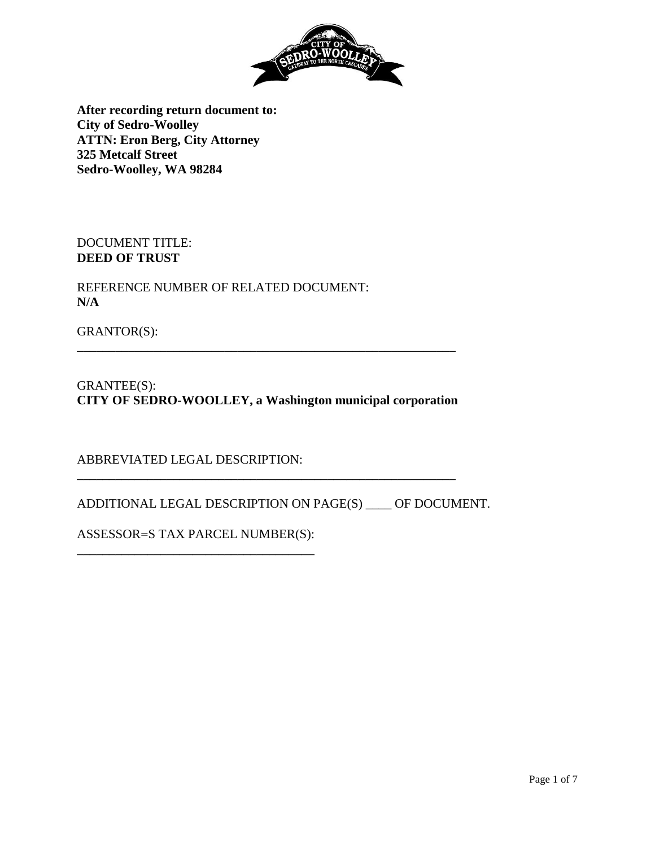

**After recording return document to: City of Sedro-Woolley ATTN: Eron Berg, City Attorney 325 Metcalf Street Sedro-Woolley, WA 98284**

DOCUMENT TITLE: **DEED OF TRUST**

REFERENCE NUMBER OF RELATED DOCUMENT: **N/A**

GRANTOR(S):

GRANTEE(S): **CITY OF SEDRO-WOOLLEY, a Washington municipal corporation**

**\_\_\_\_\_\_\_\_\_\_\_\_\_\_\_\_\_\_\_\_\_\_\_\_\_\_\_\_\_\_\_\_\_\_\_\_\_\_\_\_\_\_\_\_\_\_\_\_\_\_\_\_\_\_\_\_\_\_\_**

\_\_\_\_\_\_\_\_\_\_\_\_\_\_\_\_\_\_\_\_\_\_\_\_\_\_\_\_\_\_\_\_\_\_\_\_\_\_\_\_\_\_\_\_\_\_\_\_\_\_\_\_\_\_\_\_\_\_\_

ABBREVIATED LEGAL DESCRIPTION:

ADDITIONAL LEGAL DESCRIPTION ON PAGE(S) \_\_\_\_ OF DOCUMENT.

ASSESSOR=S TAX PARCEL NUMBER(S): **\_\_\_\_\_\_\_\_\_\_\_\_\_\_\_\_\_\_\_\_\_\_\_\_\_\_\_\_\_\_\_\_\_\_\_\_\_**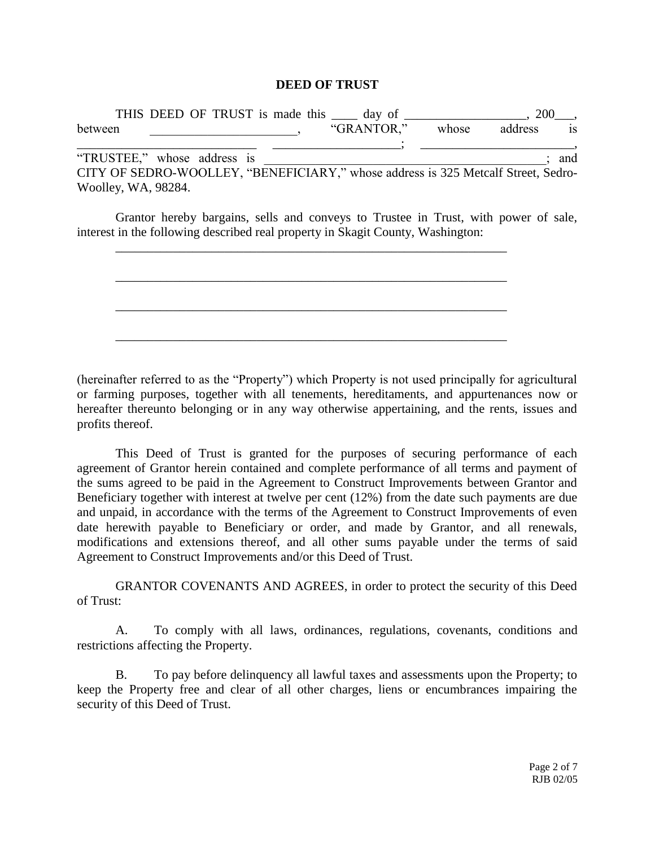#### **DEED OF TRUST**

| THIS DEED OF TRUST is made this _____ day of __________ |  |  |  |                                                                                   |       | <b>200</b> |           |  |
|---------------------------------------------------------|--|--|--|-----------------------------------------------------------------------------------|-------|------------|-----------|--|
| between                                                 |  |  |  | "GRANTOR."                                                                        | whose | address    | <b>1S</b> |  |
|                                                         |  |  |  |                                                                                   |       |            |           |  |
| "TRUSTEE," whose address is                             |  |  |  |                                                                                   |       |            | and       |  |
|                                                         |  |  |  | CITY OF SEDRO-WOOLLEY, "BENEFICIARY," whose address is 325 Metcalf Street, Sedro- |       |            |           |  |
| Woolley, WA, 98284.                                     |  |  |  |                                                                                   |       |            |           |  |

Grantor hereby bargains, sells and conveys to Trustee in Trust, with power of sale, interest in the following described real property in Skagit County, Washington:

\_\_\_\_\_\_\_\_\_\_\_\_\_\_\_\_\_\_\_\_\_\_\_\_\_\_\_\_\_\_\_\_\_\_\_\_\_\_\_\_\_\_\_\_\_\_\_\_\_\_\_\_\_\_\_\_\_\_\_\_\_

\_\_\_\_\_\_\_\_\_\_\_\_\_\_\_\_\_\_\_\_\_\_\_\_\_\_\_\_\_\_\_\_\_\_\_\_\_\_\_\_\_\_\_\_\_\_\_\_\_\_\_\_\_\_\_\_\_\_\_\_\_

\_\_\_\_\_\_\_\_\_\_\_\_\_\_\_\_\_\_\_\_\_\_\_\_\_\_\_\_\_\_\_\_\_\_\_\_\_\_\_\_\_\_\_\_\_\_\_\_\_\_\_\_\_\_\_\_\_\_\_\_\_

\_\_\_\_\_\_\_\_\_\_\_\_\_\_\_\_\_\_\_\_\_\_\_\_\_\_\_\_\_\_\_\_\_\_\_\_\_\_\_\_\_\_\_\_\_\_\_\_\_\_\_\_\_\_\_\_\_\_\_\_\_

(hereinafter referred to as the "Property") which Property is not used principally for agricultural or farming purposes, together with all tenements, hereditaments, and appurtenances now or hereafter thereunto belonging or in any way otherwise appertaining, and the rents, issues and profits thereof.

This Deed of Trust is granted for the purposes of securing performance of each agreement of Grantor herein contained and complete performance of all terms and payment of the sums agreed to be paid in the Agreement to Construct Improvements between Grantor and Beneficiary together with interest at twelve per cent (12%) from the date such payments are due and unpaid, in accordance with the terms of the Agreement to Construct Improvements of even date herewith payable to Beneficiary or order, and made by Grantor, and all renewals, modifications and extensions thereof, and all other sums payable under the terms of said Agreement to Construct Improvements and/or this Deed of Trust.

GRANTOR COVENANTS AND AGREES, in order to protect the security of this Deed of Trust:

A. To comply with all laws, ordinances, regulations, covenants, conditions and restrictions affecting the Property.

B. To pay before delinquency all lawful taxes and assessments upon the Property; to keep the Property free and clear of all other charges, liens or encumbrances impairing the security of this Deed of Trust.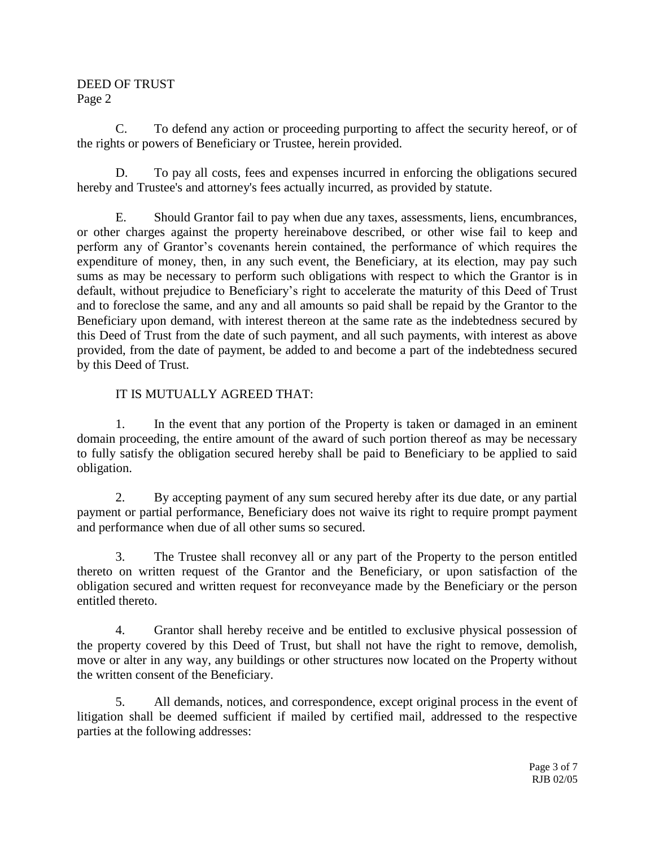#### DEED OF TRUST Page 2

C. To defend any action or proceeding purporting to affect the security hereof, or of the rights or powers of Beneficiary or Trustee, herein provided.

D. To pay all costs, fees and expenses incurred in enforcing the obligations secured hereby and Trustee's and attorney's fees actually incurred, as provided by statute.

E. Should Grantor fail to pay when due any taxes, assessments, liens, encumbrances, or other charges against the property hereinabove described, or other wise fail to keep and perform any of Grantor's covenants herein contained, the performance of which requires the expenditure of money, then, in any such event, the Beneficiary, at its election, may pay such sums as may be necessary to perform such obligations with respect to which the Grantor is in default, without prejudice to Beneficiary's right to accelerate the maturity of this Deed of Trust and to foreclose the same, and any and all amounts so paid shall be repaid by the Grantor to the Beneficiary upon demand, with interest thereon at the same rate as the indebtedness secured by this Deed of Trust from the date of such payment, and all such payments, with interest as above provided, from the date of payment, be added to and become a part of the indebtedness secured by this Deed of Trust.

# IT IS MUTUALLY AGREED THAT:

1. In the event that any portion of the Property is taken or damaged in an eminent domain proceeding, the entire amount of the award of such portion thereof as may be necessary to fully satisfy the obligation secured hereby shall be paid to Beneficiary to be applied to said obligation.

2. By accepting payment of any sum secured hereby after its due date, or any partial payment or partial performance, Beneficiary does not waive its right to require prompt payment and performance when due of all other sums so secured.

3. The Trustee shall reconvey all or any part of the Property to the person entitled thereto on written request of the Grantor and the Beneficiary, or upon satisfaction of the obligation secured and written request for reconveyance made by the Beneficiary or the person entitled thereto.

4. Grantor shall hereby receive and be entitled to exclusive physical possession of the property covered by this Deed of Trust, but shall not have the right to remove, demolish, move or alter in any way, any buildings or other structures now located on the Property without the written consent of the Beneficiary.

5. All demands, notices, and correspondence, except original process in the event of litigation shall be deemed sufficient if mailed by certified mail, addressed to the respective parties at the following addresses: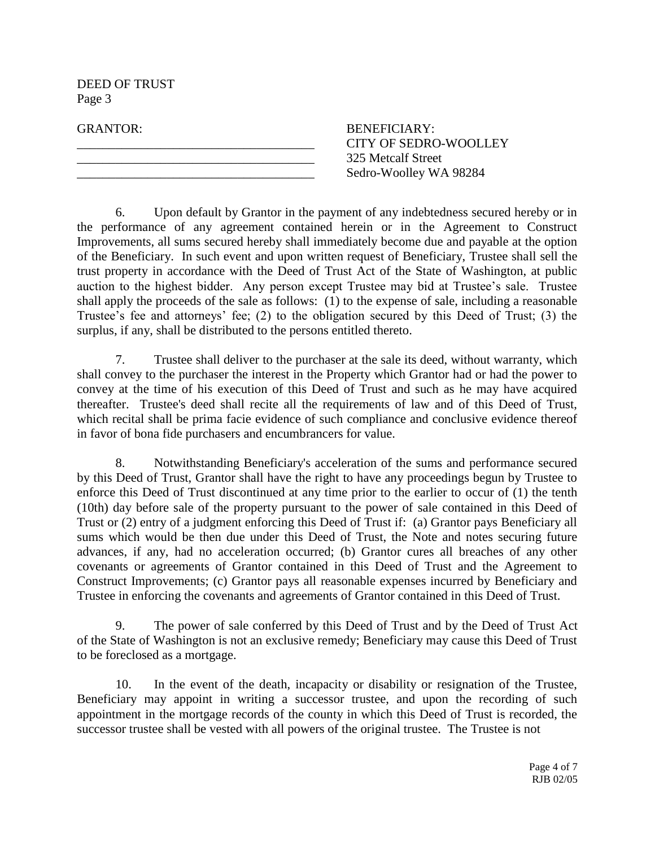DEED OF TRUST Page 3

GRANTOR: BENEFICIARY: \_\_\_\_\_\_\_\_\_\_\_\_\_\_\_\_\_\_\_\_\_\_\_\_\_\_\_\_\_\_\_\_\_\_\_\_\_ CITY OF SEDRO-WOOLLEY \_\_\_\_\_\_\_\_\_\_\_\_\_\_\_\_\_\_\_\_\_\_\_\_\_\_\_\_\_\_\_\_\_\_\_\_\_ 325 Metcalf Street Sedro-Woolley WA 98284

6. Upon default by Grantor in the payment of any indebtedness secured hereby or in the performance of any agreement contained herein or in the Agreement to Construct Improvements, all sums secured hereby shall immediately become due and payable at the option of the Beneficiary. In such event and upon written request of Beneficiary, Trustee shall sell the trust property in accordance with the Deed of Trust Act of the State of Washington, at public auction to the highest bidder. Any person except Trustee may bid at Trustee's sale. Trustee shall apply the proceeds of the sale as follows: (1) to the expense of sale, including a reasonable Trustee's fee and attorneys' fee; (2) to the obligation secured by this Deed of Trust; (3) the surplus, if any, shall be distributed to the persons entitled thereto.

7. Trustee shall deliver to the purchaser at the sale its deed, without warranty, which shall convey to the purchaser the interest in the Property which Grantor had or had the power to convey at the time of his execution of this Deed of Trust and such as he may have acquired thereafter. Trustee's deed shall recite all the requirements of law and of this Deed of Trust, which recital shall be prima facie evidence of such compliance and conclusive evidence thereof in favor of bona fide purchasers and encumbrancers for value.

8. Notwithstanding Beneficiary's acceleration of the sums and performance secured by this Deed of Trust, Grantor shall have the right to have any proceedings begun by Trustee to enforce this Deed of Trust discontinued at any time prior to the earlier to occur of (1) the tenth (10th) day before sale of the property pursuant to the power of sale contained in this Deed of Trust or (2) entry of a judgment enforcing this Deed of Trust if: (a) Grantor pays Beneficiary all sums which would be then due under this Deed of Trust, the Note and notes securing future advances, if any, had no acceleration occurred; (b) Grantor cures all breaches of any other covenants or agreements of Grantor contained in this Deed of Trust and the Agreement to Construct Improvements; (c) Grantor pays all reasonable expenses incurred by Beneficiary and Trustee in enforcing the covenants and agreements of Grantor contained in this Deed of Trust.

9. The power of sale conferred by this Deed of Trust and by the Deed of Trust Act of the State of Washington is not an exclusive remedy; Beneficiary may cause this Deed of Trust to be foreclosed as a mortgage.

10. In the event of the death, incapacity or disability or resignation of the Trustee, Beneficiary may appoint in writing a successor trustee, and upon the recording of such appointment in the mortgage records of the county in which this Deed of Trust is recorded, the successor trustee shall be vested with all powers of the original trustee. The Trustee is not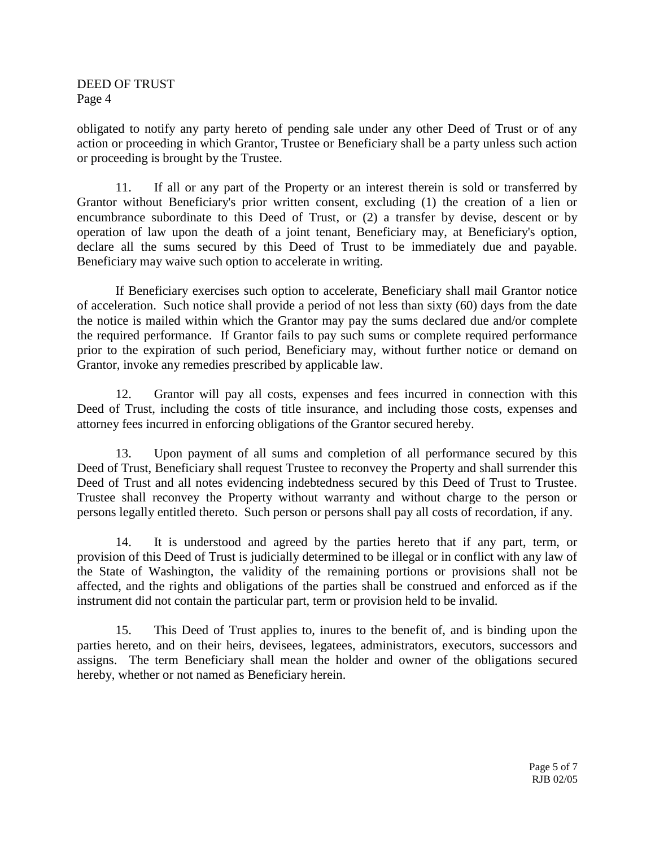## DEED OF TRUST Page 4

obligated to notify any party hereto of pending sale under any other Deed of Trust or of any action or proceeding in which Grantor, Trustee or Beneficiary shall be a party unless such action or proceeding is brought by the Trustee.

11. If all or any part of the Property or an interest therein is sold or transferred by Grantor without Beneficiary's prior written consent, excluding (1) the creation of a lien or encumbrance subordinate to this Deed of Trust, or (2) a transfer by devise, descent or by operation of law upon the death of a joint tenant, Beneficiary may, at Beneficiary's option, declare all the sums secured by this Deed of Trust to be immediately due and payable. Beneficiary may waive such option to accelerate in writing.

If Beneficiary exercises such option to accelerate, Beneficiary shall mail Grantor notice of acceleration. Such notice shall provide a period of not less than sixty (60) days from the date the notice is mailed within which the Grantor may pay the sums declared due and/or complete the required performance. If Grantor fails to pay such sums or complete required performance prior to the expiration of such period, Beneficiary may, without further notice or demand on Grantor, invoke any remedies prescribed by applicable law.

12. Grantor will pay all costs, expenses and fees incurred in connection with this Deed of Trust, including the costs of title insurance, and including those costs, expenses and attorney fees incurred in enforcing obligations of the Grantor secured hereby.

13. Upon payment of all sums and completion of all performance secured by this Deed of Trust, Beneficiary shall request Trustee to reconvey the Property and shall surrender this Deed of Trust and all notes evidencing indebtedness secured by this Deed of Trust to Trustee. Trustee shall reconvey the Property without warranty and without charge to the person or persons legally entitled thereto. Such person or persons shall pay all costs of recordation, if any.

14. It is understood and agreed by the parties hereto that if any part, term, or provision of this Deed of Trust is judicially determined to be illegal or in conflict with any law of the State of Washington, the validity of the remaining portions or provisions shall not be affected, and the rights and obligations of the parties shall be construed and enforced as if the instrument did not contain the particular part, term or provision held to be invalid.

15. This Deed of Trust applies to, inures to the benefit of, and is binding upon the parties hereto, and on their heirs, devisees, legatees, administrators, executors, successors and assigns. The term Beneficiary shall mean the holder and owner of the obligations secured hereby, whether or not named as Beneficiary herein.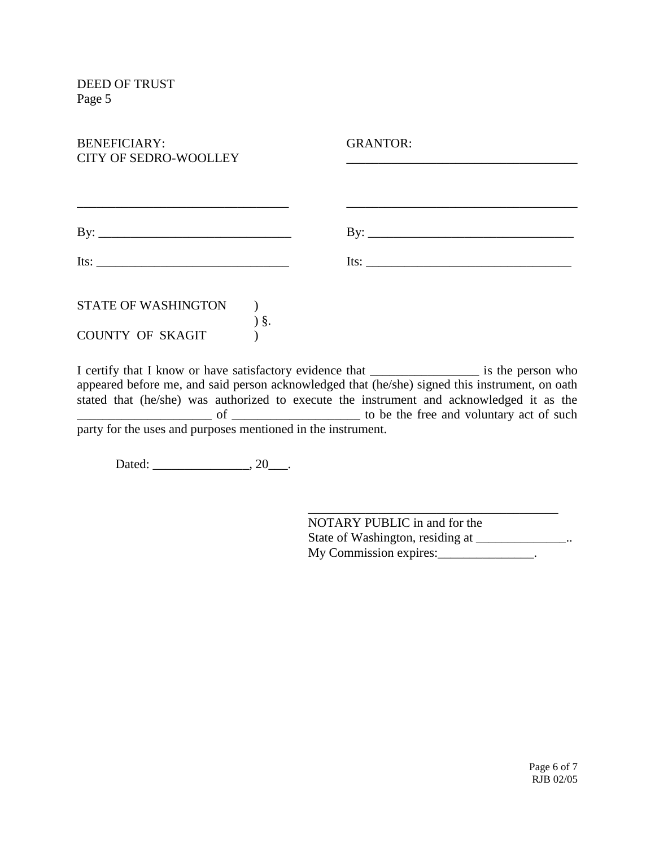| <b>BENEFICIARY:</b><br><b>CITY OF SEDRO-WOOLLEY</b>                                                                                                                                                                                                                                                                                                                                                           | <b>GRANTOR:</b>           |
|---------------------------------------------------------------------------------------------------------------------------------------------------------------------------------------------------------------------------------------------------------------------------------------------------------------------------------------------------------------------------------------------------------------|---------------------------|
|                                                                                                                                                                                                                                                                                                                                                                                                               |                           |
|                                                                                                                                                                                                                                                                                                                                                                                                               |                           |
|                                                                                                                                                                                                                                                                                                                                                                                                               | $\mathbf{B} \mathbf{y}$ : |
| Its: $\frac{1}{\sqrt{1-\frac{1}{2}}\sqrt{1-\frac{1}{2}}\sqrt{1-\frac{1}{2}}\sqrt{1-\frac{1}{2}}\sqrt{1-\frac{1}{2}}\sqrt{1-\frac{1}{2}}\sqrt{1-\frac{1}{2}}\sqrt{1-\frac{1}{2}}\sqrt{1-\frac{1}{2}}\sqrt{1-\frac{1}{2}}\sqrt{1-\frac{1}{2}}\sqrt{1-\frac{1}{2}}\sqrt{1-\frac{1}{2}}\sqrt{1-\frac{1}{2}}\sqrt{1-\frac{1}{2}}\sqrt{1-\frac{1}{2}}\sqrt{1-\frac{1}{2}}\sqrt{1-\frac{1}{2}}\sqrt{1-\frac{1}{2}}\$ | Its: $\qquad \qquad$      |
| <b>STATE OF WASHINGTON</b>                                                                                                                                                                                                                                                                                                                                                                                    |                           |
| $\delta$ .<br><b>COUNTY OF SKAGIT</b>                                                                                                                                                                                                                                                                                                                                                                         |                           |

I certify that I know or have satisfactory evidence that \_\_\_\_\_\_\_\_\_\_\_\_\_\_\_\_\_ is the person who appeared before me, and said person acknowledged that (he/she) signed this instrument, on oath stated that (he/she) was authorized to execute the instrument and acknowledged it as the of \_\_\_\_\_\_\_\_\_\_\_\_\_\_\_\_\_\_\_\_\_ to be the free and voluntary act of such party for the uses and purposes mentioned in the instrument.

Dated: \_\_\_\_\_\_\_\_\_\_\_\_\_\_\_\_, 20\_\_\_\_.

NOTARY PUBLIC in and for the State of Washington, residing at \_\_\_\_\_\_\_\_\_\_\_\_\_\_.. My Commission expires:\_\_\_\_\_\_\_\_\_\_\_\_\_\_\_.

\_\_\_\_\_\_\_\_\_\_\_\_\_\_\_\_\_\_\_\_\_\_\_\_\_\_\_\_\_\_\_\_\_\_\_\_\_\_\_